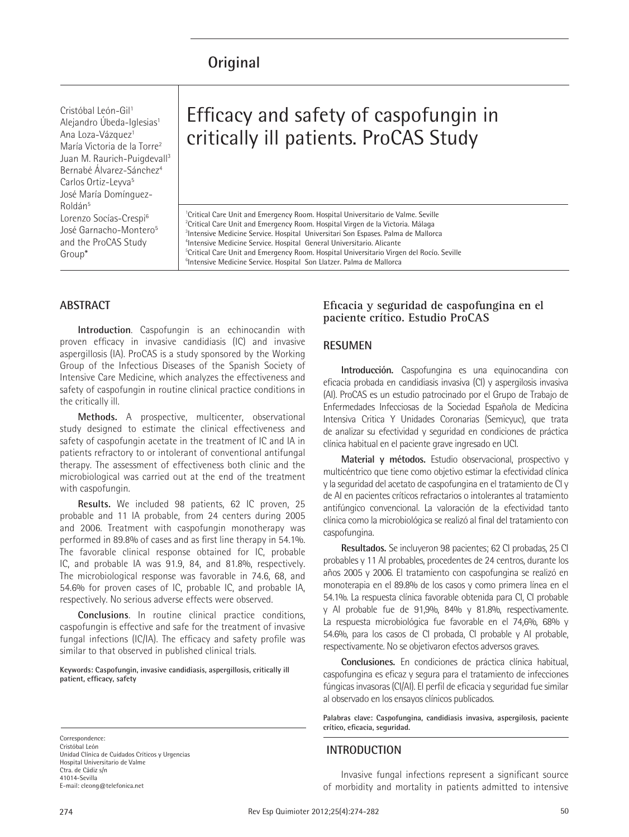## **Original**

Cristóbal León-Gil<sup>1</sup> Alejandro Úbeda-Iglesias<sup>1</sup> Ana Loza-Vázquez<sup>1</sup> María Victoria de la Torre2 Juan M. Raurich-Puigdevall3 Bernabé Álvarez-Sánchez4 Carlos Ortiz-Leyva<sup>5</sup> José María Domínguez-Roldán5 Lorenzo Socías-Crespi6 José Garnacho-Montero<sup>5</sup> and the ProCAS Study Group\*

# Efficacy and safety of caspofungin in critically ill patients. ProCAS Study

<sup>1</sup>Critical Care Unit and Emergency Room. Hospital Universitario de Valme. Seville  $2$ Critical Care Unit and Emergency Room. Hospital Virgen de la Victoria. Málaga <sup>3</sup>Intensive Medicine Service. Hospital Universitari Son Espases. Palma de Mallorca 4 Intensive Medicine Service. Hospital General Universitario. Alicante 5 Critical Care Unit and Emergency Room. Hospital Universitario Virgen del Rocío. Seville <sup>6</sup>Intensive Medicine Service. Hospital Son Llatzer. Palma de Mallorca

## **ABSTRACT**

**Introduction**. Caspofungin is an echinocandin with proven efficacy in invasive candidiasis (IC) and invasive aspergillosis (IA). ProCAS is a study sponsored by the Working Group of the Infectious Diseases of the Spanish Society of Intensive Care Medicine, which analyzes the effectiveness and safety of caspofungin in routine clinical practice conditions in the critically ill.

**Methods.** A prospective, multicenter, observational study designed to estimate the clinical effectiveness and safety of caspofungin acetate in the treatment of IC and IA in patients refractory to or intolerant of conventional antifungal therapy. The assessment of effectiveness both clinic and the microbiological was carried out at the end of the treatment with caspofungin.

**Results.** We included 98 patients, 62 IC proven, 25 probable and 11 IA probable, from 24 centers during 2005 and 2006. Treatment with caspofungin monotherapy was performed in 89.8% of cases and as first line therapy in 54.1%. The favorable clinical response obtained for IC, probable IC, and probable IA was 91.9, 84, and 81.8%, respectively. The microbiological response was favorable in 74.6, 68, and 54.6% for proven cases of IC, probable IC, and probable IA, respectively. No serious adverse effects were observed.

**Conclusions**. In routine clinical practice conditions, caspofungin is effective and safe for the treatment of invasive fungal infections (IC/IA). The efficacy and safety profile was similar to that observed in published clinical trials.

**Keywords: Caspofungin, invasive candidiasis, aspergillosis, critically ill patient, efficacy, safety**

Correspondence: Cristóbal León Unidad Clínica de Cuidados Críticos y Urgencias Hospital Universitario de Valme Ctra. de Cádiz s/n 41014-Sevilla E-mail: cleong@telefonica.net

## **Eficacia y seguridad de caspofungina en el paciente crítico. Estudio ProCAS**

## **RESUMEN**

**Introducción.** Caspofungina es una equinocandina con eficacia probada en candidiasis invasiva (CI) y aspergilosis invasiva (AI). ProCAS es un estudio patrocinado por el Grupo de Trabajo de Enfermedades Infecciosas de la Sociedad Española de Medicina Intensiva Critica Y Unidades Coronarias (Semicyuc), que trata de analizar su efectividad y seguridad en condiciones de práctica clínica habitual en el paciente grave ingresado en UCI.

**Material y métodos.** Estudio observacional, prospectivo y multicéntrico que tiene como objetivo estimar la efectividad clínica y la seguridad del acetato de caspofungina en el tratamiento de CI y de AI en pacientes críticos refractarios o intolerantes al tratamiento antifúngico convencional. La valoración de la efectividad tanto clínica como la microbiológica se realizó al final del tratamiento con caspofungina.

**Resultados.** Se incluyeron 98 pacientes; 62 CI probadas, 25 CI probables y 11 AI probables, procedentes de 24 centros, durante los años 2005 y 2006. El tratamiento con caspofungina se realizó en monoterapia en el 89.8% de los casos y como primera línea en el 54.1%. La respuesta clínica favorable obtenida para CI, CI probable y AI probable fue de 91,9%, 84% y 81.8%, respectivamente. La respuesta microbiológica fue favorable en el 74,6%, 68% y 54.6%, para los casos de CI probada, CI probable y AI probable, respectivamente. No se objetivaron efectos adversos graves.

**Conclusiones.** En condiciones de práctica clínica habitual, caspofungina es eficaz y segura para el tratamiento de infecciones fúngicas invasoras (CI/AI). El perfil de eficacia y seguridad fue similar al observado en los ensayos clínicos publicados.

**Palabras clave: Caspofungina, candidiasis invasiva, aspergilosis, paciente crítico, eficacia, seguridad.**

## **INTRODUCTION**

Invasive fungal infections represent a significant source of morbidity and mortality in patients admitted to intensive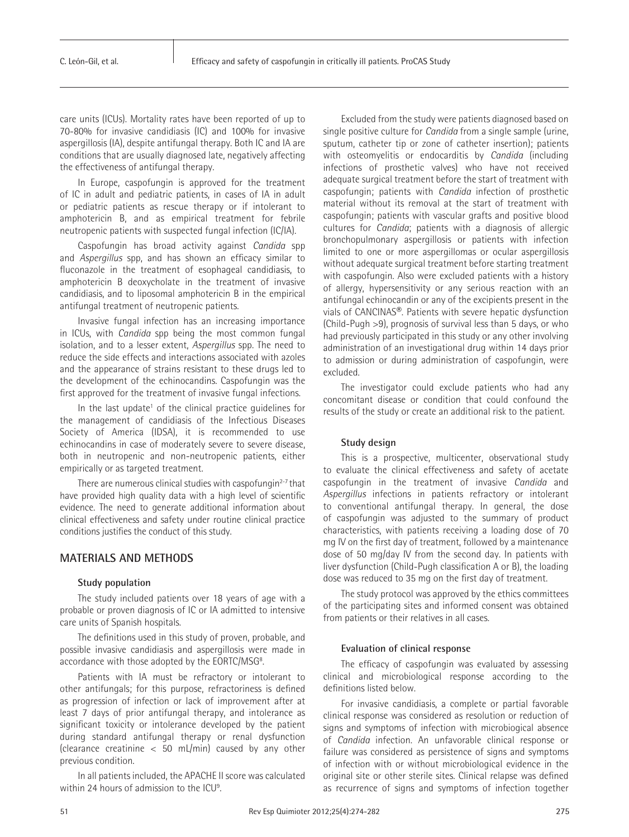care units (ICUs). Mortality rates have been reported of up to 70-80% for invasive candidiasis (IC) and 100% for invasive aspergillosis (IA), despite antifungal therapy. Both IC and IA are conditions that are usually diagnosed late, negatively affecting the effectiveness of antifungal therapy.

In Europe, caspofungin is approved for the treatment of IC in adult and pediatric patients, in cases of IA in adult or pediatric patients as rescue therapy or if intolerant to amphotericin B, and as empirical treatment for febrile neutropenic patients with suspected fungal infection (IC/IA).

Caspofungin has broad activity against *Candida* spp and *Aspergillus* spp, and has shown an efficacy similar to fluconazole in the treatment of esophageal candidiasis, to amphotericin B deoxycholate in the treatment of invasive candidiasis, and to liposomal amphotericin B in the empirical antifungal treatment of neutropenic patients.

Invasive fungal infection has an increasing importance in ICUs, with *Candida* spp being the most common fungal isolation, and to a lesser extent, *Aspergillus* spp. The need to reduce the side effects and interactions associated with azoles and the appearance of strains resistant to these drugs led to the development of the echinocandins. Caspofungin was the first approved for the treatment of invasive fungal infections.

In the last update<sup>1</sup> of the clinical practice guidelines for the management of candidiasis of the Infectious Diseases Society of America (IDSA), it is recommended to use echinocandins in case of moderately severe to severe disease, both in neutropenic and non-neutropenic patients, either empirically or as targeted treatment.

There are numerous clinical studies with caspofungin $2-7$  that have provided high quality data with a high level of scientific evidence. The need to generate additional information about clinical effectiveness and safety under routine clinical practice conditions justifies the conduct of this study.

## **MATERIALS AND METHODS**

#### **Study population**

The study included patients over 18 years of age with a probable or proven diagnosis of IC or IA admitted to intensive care units of Spanish hospitals.

The definitions used in this study of proven, probable, and possible invasive candidiasis and aspergillosis were made in accordance with those adopted by the EORTC/MSG<sup>8</sup>. .

Patients with IA must be refractory or intolerant to other antifungals; for this purpose, refractoriness is defined as progression of infection or lack of improvement after at least 7 days of prior antifungal therapy, and intolerance as significant toxicity or intolerance developed by the patient during standard antifungal therapy or renal dysfunction (clearance creatinine < 50 mL/min) caused by any other previous condition.

In all patients included, the APACHE II score was calculated within 24 hours of admission to the ICU<sup>9</sup>. .

Excluded from the study were patients diagnosed based on single positive culture for *Candida* from a single sample (urine, sputum, catheter tip or zone of catheter insertion); patients with osteomyelitis or endocarditis by *Candida* (including infections of prosthetic valves) who have not received adequate surgical treatment before the start of treatment with caspofungin; patients with *Candida* infection of prosthetic material without its removal at the start of treatment with caspofungin; patients with vascular grafts and positive blood cultures for *Candida*; patients with a diagnosis of allergic bronchopulmonary aspergillosis or patients with infection limited to one or more aspergillomas or ocular aspergillosis without adequate surgical treatment before starting treatment with caspofungin. Also were excluded patients with a history of allergy, hypersensitivity or any serious reaction with an antifungal echinocandin or any of the excipients present in the vials of CANCINAS®. Patients with severe hepatic dysfunction (Child-Pugh >9), prognosis of survival less than 5 days, or who had previously participated in this study or any other involving administration of an investigational drug within 14 days prior to admission or during administration of caspofungin, were excluded.

The investigator could exclude patients who had any concomitant disease or condition that could confound the results of the study or create an additional risk to the patient.

#### **Study design**

This is a prospective, multicenter, observational study to evaluate the clinical effectiveness and safety of acetate caspofungin in the treatment of invasive *Candida* and *Aspergillus* infections in patients refractory or intolerant to conventional antifungal therapy. In general, the dose of caspofungin was adjusted to the summary of product characteristics, with patients receiving a loading dose of 70 mg IV on the first day of treatment, followed by a maintenance dose of 50 mg/day IV from the second day. In patients with liver dysfunction (Child-Pugh classification A or B), the loading dose was reduced to 35 mg on the first day of treatment.

The study protocol was approved by the ethics committees of the participating sites and informed consent was obtained from patients or their relatives in all cases.

#### **Evaluation of clinical response**

The efficacy of caspofungin was evaluated by assessing clinical and microbiological response according to the definitions listed below.

For invasive candidiasis, a complete or partial favorable clinical response was considered as resolution or reduction of signs and symptoms of infection with microbiogical absence of *Candida* infection. An unfavorable clinical response or failure was considered as persistence of signs and symptoms of infection with or without microbiological evidence in the original site or other sterile sites. Clinical relapse was defined as recurrence of signs and symptoms of infection together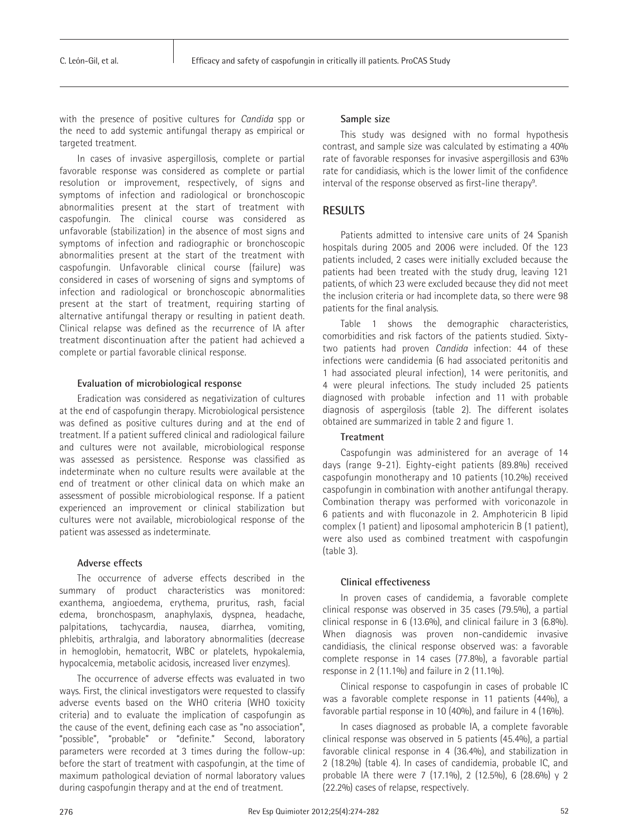with the presence of positive cultures for *Candida* spp or the need to add systemic antifungal therapy as empirical or targeted treatment.

In cases of invasive aspergillosis, complete or partial favorable response was considered as complete or partial resolution or improvement, respectively, of signs and symptoms of infection and radiological or bronchoscopic abnormalities present at the start of treatment with caspofungin. The clinical course was considered as unfavorable (stabilization) in the absence of most signs and symptoms of infection and radiographic or bronchoscopic abnormalities present at the start of the treatment with caspofungin. Unfavorable clinical course (failure) was considered in cases of worsening of signs and symptoms of infection and radiological or bronchoscopic abnormalities present at the start of treatment, requiring starting of alternative antifungal therapy or resulting in patient death. Clinical relapse was defined as the recurrence of IA after treatment discontinuation after the patient had achieved a complete or partial favorable clinical response.

#### **Evaluation of microbiological response**

Eradication was considered as negativization of cultures at the end of caspofungin therapy. Microbiological persistence was defined as positive cultures during and at the end of treatment. If a patient suffered clinical and radiological failure and cultures were not available, microbiological response was assessed as persistence. Response was classified as indeterminate when no culture results were available at the end of treatment or other clinical data on which make an assessment of possible microbiological response. If a patient experienced an improvement or clinical stabilization but cultures were not available, microbiological response of the patient was assessed as indeterminate.

#### **Adverse effects**

The occurrence of adverse effects described in the summary of product characteristics was monitored: exanthema, angioedema, erythema, pruritus, rash, facial edema, bronchospasm, anaphylaxis, dyspnea, headache, palpitations, tachycardia, nausea, diarrhea, vomiting, phlebitis, arthralgia, and laboratory abnormalities (decrease in hemoglobin, hematocrit, WBC or platelets, hypokalemia, hypocalcemia, metabolic acidosis, increased liver enzymes).

The occurrence of adverse effects was evaluated in two ways. First, the clinical investigators were requested to classify adverse events based on the WHO criteria (WHO toxicity criteria) and to evaluate the implication of caspofungin as the cause of the event, defining each case as "no association", "possible", "probable" or "definite." Second, laboratory parameters were recorded at 3 times during the follow-up: before the start of treatment with caspofungin, at the time of maximum pathological deviation of normal laboratory values during caspofungin therapy and at the end of treatment.

#### **Sample size**

This study was designed with no formal hypothesis contrast, and sample size was calculated by estimating a 40% rate of favorable responses for invasive aspergillosis and 63% rate for candidiasis, which is the lower limit of the confidence interval of the response observed as first-line therapy<sup>9</sup>.

## **RESULTS**

Patients admitted to intensive care units of 24 Spanish hospitals during 2005 and 2006 were included. Of the 123 patients included, 2 cases were initially excluded because the patients had been treated with the study drug, leaving 121 patients, of which 23 were excluded because they did not meet the inclusion criteria or had incomplete data, so there were 98 patients for the final analysis.

Table 1 shows the demographic characteristics, comorbidities and risk factors of the patients studied. Sixtytwo patients had proven *Candida* infection: 44 of these infections were candidemia (6 had associated peritonitis and 1 had associated pleural infection), 14 were peritonitis, and 4 were pleural infections. The study included 25 patients diagnosed with probable infection and 11 with probable diagnosis of aspergilosis (table 2). The different isolates obtained are summarized in table 2 and figure 1.

## **Treatment**

Caspofungin was administered for an average of 14 days (range 9-21). Eighty-eight patients (89.8%) received caspofungin monotherapy and 10 patients (10.2%) received caspofungin in combination with another antifungal therapy. Combination therapy was performed with voriconazole in 6 patients and with fluconazole in 2. Amphotericin B lipid complex (1 patient) and liposomal amphotericin B (1 patient), were also used as combined treatment with caspofungin (table 3).

#### **Clinical effectiveness**

In proven cases of candidemia, a favorable complete clinical response was observed in 35 cases (79.5%), a partial clinical response in 6 (13.6%), and clinical failure in 3 (6.8%). When diagnosis was proven non-candidemic invasive candidiasis, the clinical response observed was: a favorable complete response in 14 cases (77.8%), a favorable partial response in 2 (11.1%) and failure in 2 (11.1%).

Clinical response to caspofungin in cases of probable IC was a favorable complete response in 11 patients (44%), a favorable partial response in 10 (40%), and failure in 4 (16%).

In cases diagnosed as probable IA, a complete favorable clinical response was observed in 5 patients (45.4%), a partial favorable clinical response in 4 (36.4%), and stabilization in 2 (18.2%) (table 4). In cases of candidemia, probable IC, and probable IA there were 7 (17.1%), 2 (12.5%), 6 (28.6%) y 2 (22.2%) cases of relapse, respectively.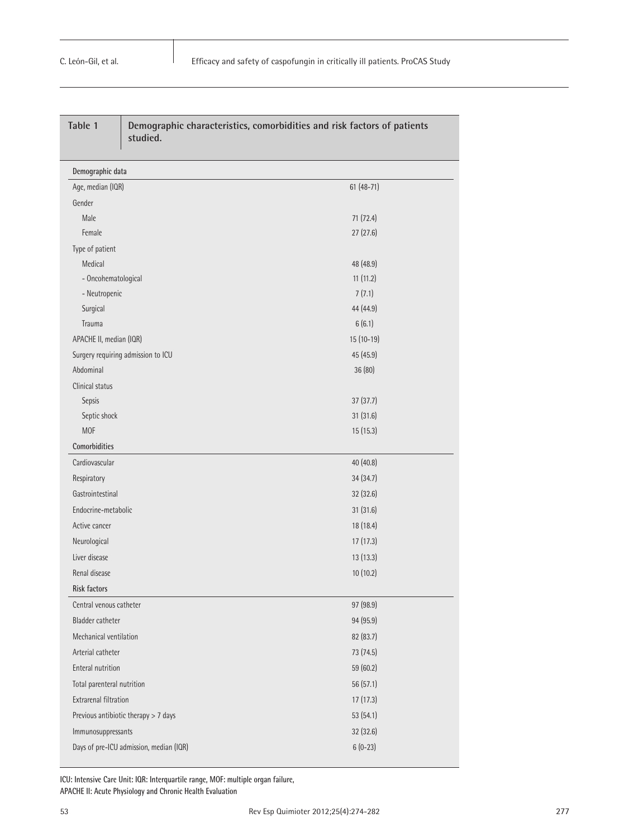| Table 1                                 | Demographic characteristics, comorbidities and risk factors of patients<br>studied. |             |  |
|-----------------------------------------|-------------------------------------------------------------------------------------|-------------|--|
| Demographic data                        |                                                                                     |             |  |
| Age, median (IQR)                       |                                                                                     | $61(48-71)$ |  |
| Gender                                  |                                                                                     |             |  |
| Male                                    |                                                                                     | 71 (72.4)   |  |
| Female                                  |                                                                                     | 27(27.6)    |  |
| Type of patient                         |                                                                                     |             |  |
| Medical                                 |                                                                                     | 48 (48.9)   |  |
| - Oncohematological                     |                                                                                     | 11(11.2)    |  |
| - Neutropenic                           |                                                                                     | 7(7.1)      |  |
| Surgical                                |                                                                                     | 44 (44.9)   |  |
| Trauma                                  |                                                                                     | 6(6.1)      |  |
| APACHE II, median (IQR)                 |                                                                                     | 15 (10-19)  |  |
|                                         | Surgery requiring admission to ICU                                                  | 45 (45.9)   |  |
| Abdominal                               |                                                                                     | 36 (80)     |  |
| Clinical status                         |                                                                                     |             |  |
| Sepsis                                  |                                                                                     | 37(37.7)    |  |
| Septic shock                            |                                                                                     | 31 (31.6)   |  |
| <b>MOF</b>                              |                                                                                     | 15 (15.3)   |  |
| Comorbidities                           |                                                                                     |             |  |
| Cardiovascular                          |                                                                                     | 40 (40.8)   |  |
| Respiratory                             |                                                                                     | 34 (34.7)   |  |
| Gastrointestinal                        |                                                                                     | 32 (32.6)   |  |
| Endocrine-metabolic                     |                                                                                     | 31 (31.6)   |  |
| Active cancer                           |                                                                                     | 18 (18.4)   |  |
| Neurological                            |                                                                                     | 17 (17.3)   |  |
| Liver disease                           |                                                                                     | 13 (13.3)   |  |
| Renal disease                           |                                                                                     | 10(10.2)    |  |
| <b>Risk factors</b>                     |                                                                                     |             |  |
| Central venous catheter                 |                                                                                     | 97 (98.9)   |  |
| <b>Bladder catheter</b>                 |                                                                                     | 94 (95.9)   |  |
| Mechanical ventilation                  |                                                                                     | 82 (83.7)   |  |
| Arterial catheter                       |                                                                                     | 73 (74.5)   |  |
| <b>Enteral nutrition</b>                |                                                                                     | 59 (60.2)   |  |
| Total parenteral nutrition              |                                                                                     | 56 (57.1)   |  |
| Extrarenal filtration                   |                                                                                     | 17 (17.3)   |  |
|                                         | Previous antibiotic therapy > 7 days                                                | 53 (54.1)   |  |
|                                         |                                                                                     | 32 (32.6)   |  |
| Immunosuppressants                      |                                                                                     |             |  |
| Days of pre-ICU admission, median (IQR) |                                                                                     | $6(0-23)$   |  |

**ICU: Intensive Care Unit: IQR: Interquartile range, MOF: multiple organ failure, APACHE II: Acute Physiology and Chronic Health Evaluation**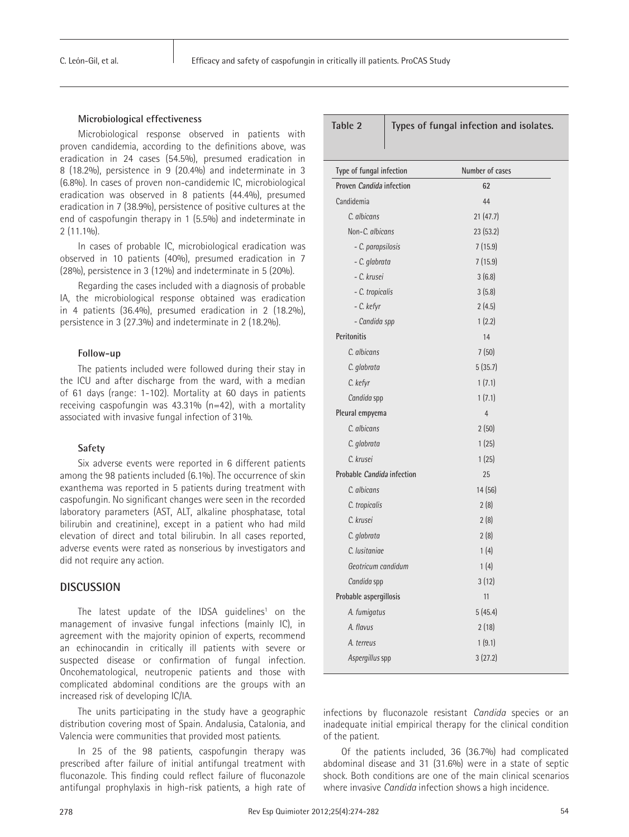#### **Microbiological effectiveness**

Microbiological response observed in patients with proven candidemia, according to the definitions above, was eradication in 24 cases (54.5%), presumed eradication in 8 (18.2%), persistence in 9 (20.4%) and indeterminate in 3 (6.8%). In cases of proven non-candidemic IC, microbiological eradication was observed in 8 patients (44.4%), presumed eradication in 7 (38.9%), persistence of positive cultures at the end of caspofungin therapy in 1 (5.5%) and indeterminate in 2 (11.1%).

In cases of probable IC, microbiological eradication was observed in 10 patients (40%), presumed eradication in 7 (28%), persistence in 3 (12%) and indeterminate in 5 (20%).

Regarding the cases included with a diagnosis of probable IA, the microbiological response obtained was eradication in 4 patients (36.4%), presumed eradication in 2 (18.2%), persistence in 3 (27.3%) and indeterminate in 2 (18.2%).

#### **Follow-up**

The patients included were followed during their stay in the ICU and after discharge from the ward, with a median of 61 days (range: 1-102). Mortality at 60 days in patients receiving caspofungin was 43.31% (n=42), with a mortality associated with invasive fungal infection of 31%.

#### **Safety**

Six adverse events were reported in 6 different patients among the 98 patients included (6.1%). The occurrence of skin exanthema was reported in 5 patients during treatment with caspofungin. No significant changes were seen in the recorded laboratory parameters (AST, ALT, alkaline phosphatase, total bilirubin and creatinine), except in a patient who had mild elevation of direct and total bilirubin. In all cases reported, adverse events were rated as nonserious by investigators and did not require any action.

## **DISCUSSION**

The latest update of the IDSA guidelines<sup>1</sup> on the management of invasive fungal infections (mainly IC), in agreement with the majority opinion of experts, recommend an echinocandin in critically ill patients with severe or suspected disease or confirmation of fungal infection. Oncohematological, neutropenic patients and those with complicated abdominal conditions are the groups with an increased risk of developing IC/IA.

The units participating in the study have a geographic distribution covering most of Spain. Andalusia, Catalonia, and Valencia were communities that provided most patients.

In 25 of the 98 patients, caspofungin therapy was prescribed after failure of initial antifungal treatment with fluconazole. This finding could reflect failure of fluconazole antifungal prophylaxis in high-risk patients, a high rate of

| Table 2 | Types of fungal infection and isolates. |  |  |  |  |
|---------|-----------------------------------------|--|--|--|--|
|---------|-----------------------------------------|--|--|--|--|

| Type of fungal infection   | Number of cases |
|----------------------------|-----------------|
| Proven Candida infection   | 62              |
| Candidemia                 | 44              |
| C. albicans                | 21(47.7)        |
| Non-C. albicans            | 23 (53.2)       |
| - C. parapsilosis          | 7(15.9)         |
| - C. glabrata              | 7(15.9)         |
| - C. krusei                | 3(6.8)          |
| - C. tropicalis            | 3(5.8)          |
| - C. kefyr                 | 2(4.5)          |
| - Candida spp              | 1(2.2)          |
| <b>Peritonitis</b>         | 14              |
| C. albicans                | 7(50)           |
| C. glabrata                | 5(35.7)         |
| C. kefyr                   | 1(7.1)          |
| Candida spp                | 1(7.1)          |
| Pleural empyema            | $\overline{4}$  |
| C. albicans                | 2(50)           |
| C. glabrata                | 1(25)           |
| C. krusei                  | 1(25)           |
| Probable Candida infection | 25              |
| C. albicans                | 14(56)          |
| C. tropicalis              | 2(8)            |
| C. krusei                  | 2(8)            |
| C. glabrata                | 2(8)            |
| C. Iusitaniae              | 1(4)            |
| Geotricum candidum         | 1(4)            |
| Candida spp                | 3(12)           |
| Probable aspergillosis     | 11              |
| A. fumigatus               | 5(45.4)         |
| A. flavus                  | 2(18)           |
| A. terreus                 | 1(9.1)          |
| Aspergillus spp            | 3(27.2)         |
|                            |                 |

infections by fluconazole resistant *Candida* species or an inadequate initial empirical therapy for the clinical condition of the patient.

Of the patients included, 36 (36.7%) had complicated abdominal disease and 31 (31.6%) were in a state of septic shock. Both conditions are one of the main clinical scenarios where invasive *Candida* infection shows a high incidence.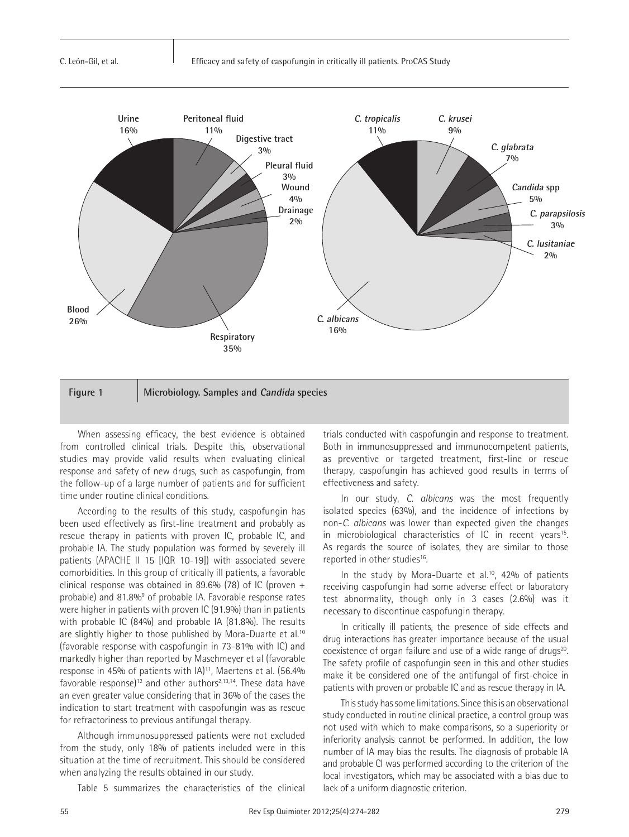

When assessing efficacy, the best evidence is obtained from controlled clinical trials. Despite this, observational studies may provide valid results when evaluating clinical response and safety of new drugs, such as caspofungin, from the follow-up of a large number of patients and for sufficient time under routine clinical conditions.

According to the results of this study, caspofungin has been used effectively as first-line treatment and probably as rescue therapy in patients with proven IC, probable IC, and probable IA. The study population was formed by severely ill patients (APACHE II 15 [IQR 10-19]) with associated severe comorbidities. In this group of critically ill patients, a favorable clinical response was obtained in 89.6% (78) of IC (proven  $+$ probable) and 81.8%<sup>9</sup> of probable IA. Favorable response rates were higher in patients with proven IC (91.9%) than in patients with probable IC (84%) and probable IA (81.8%). The results are slightly higher to those published by Mora-Duarte et al.<sup>10</sup> (favorable response with caspofungin in 73-81% with IC) and markedly higher than reported by Maschmeyer et al (favorable response in 45% of patients with IA)<sup>11</sup>, Maertens et al. (56.4% favorable response)<sup>12</sup> and other authors<sup>2,13,14</sup>. These data have an even greater value considering that in 36% of the cases the indication to start treatment with caspofungin was as rescue for refractoriness to previous antifungal therapy.

Although immunosuppressed patients were not excluded from the study, only 18% of patients included were in this situation at the time of recruitment. This should be considered when analyzing the results obtained in our study.

Table 5 summarizes the characteristics of the clinical

trials conducted with caspofungin and response to treatment. Both in immunosuppressed and immunocompetent patients, as preventive or targeted treatment, first-line or rescue therapy, caspofungin has achieved good results in terms of effectiveness and safety.

In our study, *C. albicans* was the most frequently isolated species (63%), and the incidence of infections by non-*C. albicans* was lower than expected given the changes in microbiological characteristics of IC in recent years<sup>15</sup>. As regards the source of isolates, they are similar to those reported in other studies<sup>16</sup>.

In the study by Mora-Duarte et al.<sup>10</sup>, 42% of patients receiving caspofungin had some adverse effect or laboratory test abnormality, though only in 3 cases (2.6%) was it necessary to discontinue caspofungin therapy.

In critically ill patients, the presence of side effects and drug interactions has greater importance because of the usual coexistence of organ failure and use of a wide range of drugs<sup>20</sup>. The safety profile of caspofungin seen in this and other studies make it be considered one of the antifungal of first-choice in patients with proven or probable IC and as rescue therapy in IA.

This study has some limitations. Since this is an observational study conducted in routine clinical practice, a control group was not used with which to make comparisons, so a superiority or inferiority analysis cannot be performed. In addition, the low number of IA may bias the results. The diagnosis of probable IA and probable CI was performed according to the criterion of the local investigators, which may be associated with a bias due to lack of a uniform diagnostic criterion.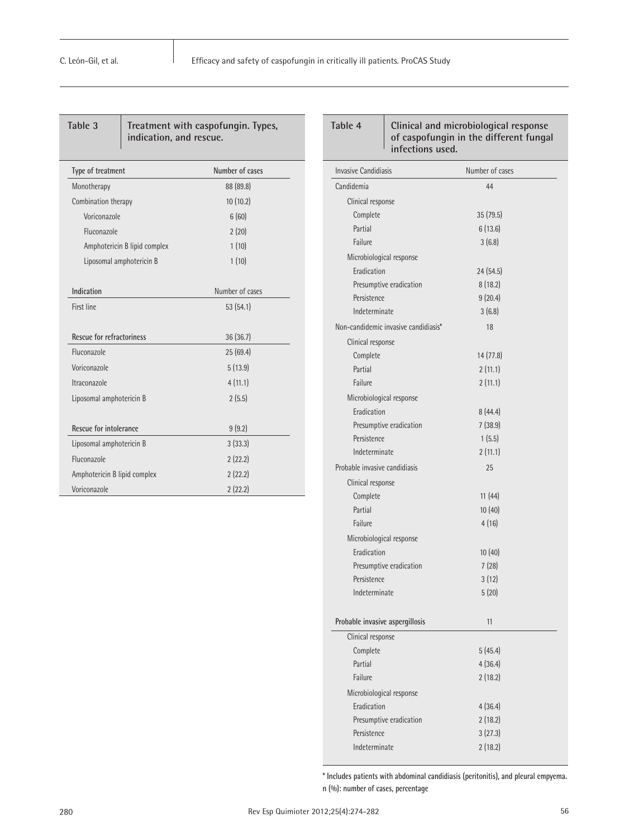| Table 3<br>Treatment with caspofungin. Types,<br>indication, and rescue. |                 |  |  |  |
|--------------------------------------------------------------------------|-----------------|--|--|--|
| Type of treatment                                                        | Number of cases |  |  |  |
| Monotherapy                                                              | 88 (89.8)       |  |  |  |
| Combination therapy                                                      | 10(10.2)        |  |  |  |
| Voriconazole                                                             | 6(60)           |  |  |  |
| Fluconazole                                                              | 2(20)           |  |  |  |
| Amphotericin B lipid complex                                             | 1(10)           |  |  |  |
| Liposomal amphotericin B                                                 | 1(10)           |  |  |  |
| Indication                                                               | Number of cases |  |  |  |
| First line                                                               | 53(54.1)        |  |  |  |
| Rescue for refractoriness                                                | 36(36.7)        |  |  |  |
| Fluconazole                                                              | 25(69.4)        |  |  |  |
| Voriconazole                                                             | 5(13.9)         |  |  |  |
| Itraconazole                                                             | 4(11.1)         |  |  |  |
| Liposomal amphotericin B                                                 | 2(5.5)          |  |  |  |
| Rescue for intolerance                                                   | 9(9.2)          |  |  |  |
| Liposomal amphotericin B                                                 | 3(33.3)         |  |  |  |
| Fluconazole                                                              | 2(22.2)         |  |  |  |
| Amphotericin B lipid complex                                             | 2(22.2)         |  |  |  |
| Voriconazole                                                             | 2(22.2)         |  |  |  |

| infections used.                     | of caspofungin in the different fungal |
|--------------------------------------|----------------------------------------|
| <b>Invasive Candidiasis</b>          | Number of cases                        |
| Candidemia                           | 44                                     |
| Clinical response                    |                                        |
| Complete                             | 35(79.5)                               |
| Partial                              | 6(13.6)                                |
| Failure                              | 3(6.8)                                 |
| Microbiological response             |                                        |
| Eradication                          | 24 (54.5)                              |
| Presumptive eradication              | 8(18.2)                                |
| Persistence                          | 9(20.4)                                |
| Indeterminate                        | 3(6.8)                                 |
| Non-candidemic invasive candidiasis* | 18                                     |
| Clinical response                    |                                        |
| Complete                             | 14 (77.8)                              |
| Partial                              | 2(11.1)                                |
| Failure                              | 2(11.1)                                |
| Microbiological response             |                                        |
| Eradication                          | 8(44.4)                                |
| Presumptive eradication              | 7(38.9)                                |
| Persistence                          | 1(5.5)                                 |
| Indeterminate                        | 2(11.1)                                |
| Probable invasive candidiasis        | 25                                     |
| Clinical response                    |                                        |
| Complete                             | 11(44)                                 |
| Partial                              | 10(40)                                 |
| Failure                              | 4(16)                                  |
| Microbiological response             |                                        |
| Eradication                          | 10(40)                                 |
| Presumptive eradication              | 7(28)                                  |
| Persistence                          | 3(12)                                  |
| Indeterminate                        | 5(20)                                  |
|                                      |                                        |
| Probable invasive aspergillosis      | 11                                     |
| Clinical response                    |                                        |
| Complete                             | 5(45.4)                                |
| Partial                              | 4(36.4)                                |
| Failure                              | 2(18.2)                                |
| Microbiological response             |                                        |
| Eradication                          | 4(36.4)                                |
| Presumptive eradication              | 2(18.2)                                |
| Persistence                          | 3(27.3)                                |
| Indeterminate                        | 2(18.2)                                |
|                                      |                                        |

**Table 4 Clinical and microbiological response** 

**\* Includes patients with abdominal candidiasis (peritonitis), and pleural empyema. n (%): number of cases, percentage**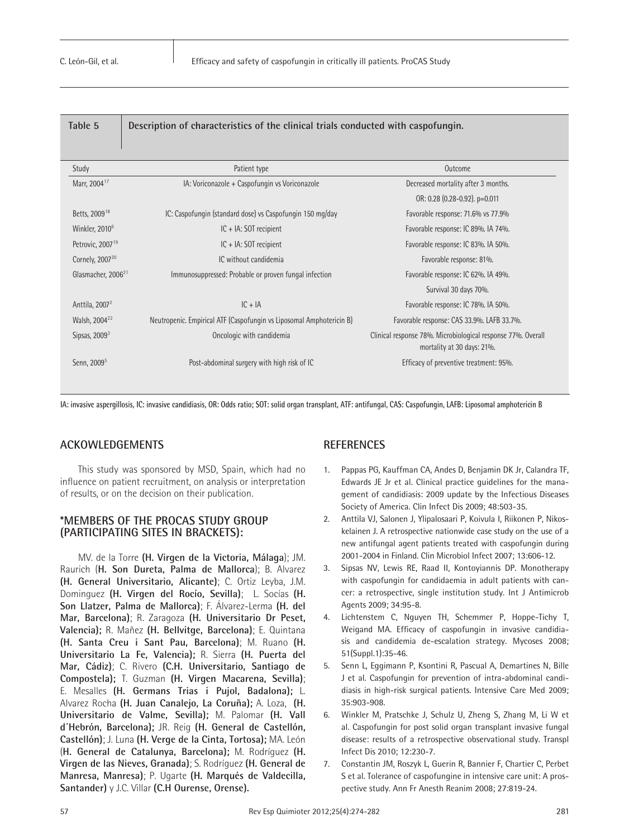| Table 5                        | Description of characteristics of the clinical trials conducted with caspofungin. |                                                                                            |  |
|--------------------------------|-----------------------------------------------------------------------------------|--------------------------------------------------------------------------------------------|--|
| Study                          | Patient type                                                                      | Outcome                                                                                    |  |
| Marr, 2004 <sup>17</sup>       | IA: Voriconazole + Caspofungin vs Voriconazole                                    | Decreased mortality after 3 months.                                                        |  |
|                                |                                                                                   | OR: 0.28 (0.28-0.92). p=0.011                                                              |  |
| Betts, 2009 <sup>18</sup>      | IC: Caspofungin (standard dose) vs Caspofungin 150 mg/day                         | Favorable response: 71.6% vs 77.9%                                                         |  |
| Winkler, 2010 <sup>6</sup>     | IC + IA: SOT recipient                                                            | Favorable response: IC 89%. IA 74%.                                                        |  |
| Petrovic, 2007 <sup>19</sup>   | $IC + IA$ : SOT recipient                                                         | Favorable response: IC 83%. IA 50%.                                                        |  |
| Cornely, 2007 <sup>20</sup>    | IC without candidemia                                                             | Favorable response: 81%.                                                                   |  |
| Glasmacher, 2006 <sup>21</sup> | Immunosuppressed: Probable or proven fungal infection                             | Favorable response: IC 62%. IA 49%.                                                        |  |
|                                |                                                                                   | Survival 30 days 70%.                                                                      |  |
| Anttila, $2007^2$              | $IC + IA$                                                                         | Favorable response: IC 78%. IA 50%.                                                        |  |
| Walsh, 2004 <sup>22</sup>      | Neutropenic. Empirical ATF (Caspofungin vs Liposomal Amphotericin B)              | Favorable response: CAS 33.9%. LAFB 33.7%.                                                 |  |
| Sipsas, 2009 <sup>3</sup>      | Oncologic with candidemia                                                         | Clinical response 78%. Microbiological response 77%. Overall<br>mortality at 30 days: 21%. |  |
| Senn, 2009 <sup>5</sup>        | Post-abdominal surgery with high risk of IC                                       | Efficacy of preventive treatment: 95%.                                                     |  |

**IA: invasive aspergillosis, IC: invasive candidiasis, OR: Odds ratio; SOT: solid organ transplant, ATF: antifungal, CAS: Caspofungin, LAFB: Liposomal amphotericin B**

## **ACKOWLEDGEMENTS**

This study was sponsored by MSD, Spain, which had no influence on patient recruitment, on analysis or interpretation of results, or on the decision on their publication.

## **\*MEMBERS OF THE PROCAS STUDY GROUP (PARTICIPATING SITES IN BRACKETS):**

MV. de la Torre **(H. Virgen de la Victoria, Málaga**); JM. Raurich (**H. Son Dureta, Palma de Mallorca**); B. Alvarez **(H. General Universitario, Alicante)**; C. Ortiz Leyba, J.M. Dominguez **(H. Virgen del Rocío, Sevilla)**; L. Socías **(H. Son Llatzer, Palma de Mallorca)**; F. Álvarez-Lerma **(H. del Mar, Barcelona)**; R. Zaragoza **(H. Universitario Dr Peset, Valencia);** R. Mañez **(H. Bellvitge, Barcelona)**; E. Quintana **(H. Santa Creu i Sant Pau, Barcelona)**; M. Ruano **(H. Universitario La Fe, Valencia);** R. Sierra **(H. Puerta del Mar, Cádiz)**; C. Rivero **(C.H. Universitario, Santiago de Compostela);** T. Guzman **(H. Virgen Macarena, Sevilla)**; E. Mesalles **(H. Germans Trias i Pujol, Badalona);** L. Alvarez Rocha **(H. Juan Canalejo, La Coruña);** A. Loza, **(H. Universitario de Valme, Sevilla);** M. Palomar **(H. Vall d´Hebrón, Barcelona);** JR. Reig **(H. General de Castellón, Castellón)**; J. Luna **(H. Verge de la Cinta, Tortosa);** MA. León (**H. General de Catalunya, Barcelona);** M. Rodríguez **(H. Virgen de las Nieves, Granada)**; S. Rodríguez **(H. General de Manresa, Manresa)**; P. Ugarte **(H. Marqués de Valdecilla, Santander)** y J.C. Villar **(C.H Ourense, Orense).**

## **REFERENCES**

- 1. Pappas PG, Kauffman CA, Andes D, Benjamin DK Jr, Calandra TF, Edwards JE Jr et al. Clinical practice guidelines for the management of candidiasis: 2009 update by the Infectious Diseases Society of America. Clin Infect Dis 2009; 48:503-35.
- 2. Anttila VJ, Salonen J, Ylipalosaari P, Koivula I, Riikonen P, Nikoskelainen J. A retrospective nationwide case study on the use of a new antifungal agent patients treated with caspofungin during 2001-2004 in Finland. Clin Microbiol Infect 2007; 13:606-12.
- 3. Sipsas NV, Lewis RE, Raad II, Kontoyiannis DP. Monotherapy with caspofungin for candidaemia in adult patients with cancer: a retrospective, single institution study. Int J Antimicrob Agents 2009; 34:95-8.
- 4. Lichtenstem C, Nguyen TH, Schemmer P, Hoppe-Tichy T, Weigand MA. Efficacy of caspofungin in invasive candidiasis and candidemia de-escalation strategy. Mycoses 2008; 51(Suppl.1):35-46.
- 5. Senn L, Eggimann P, Ksontini R, Pascual A, Demartines N, Bille J et al. Caspofungin for prevention of intra-abdominal candidiasis in high-risk surgical patients. Intensive Care Med 2009; 35:903-908.
- 6. Winkler M, Pratschke J, Schulz U, Zheng S, Zhang M, Li W et al. Caspofungin for post solid organ transplant invasive fungal disease: results of a retrospective observational study. Transpl Infect Dis 2010; 12:230-7.
- 7. Constantin JM, Roszyk L, Guerin R, Bannier F, Chartier C, Perbet S et al. Tolerance of caspofungine in intensive care unit: A prospective study. Ann Fr Anesth Reanim 2008; 27:819-24.